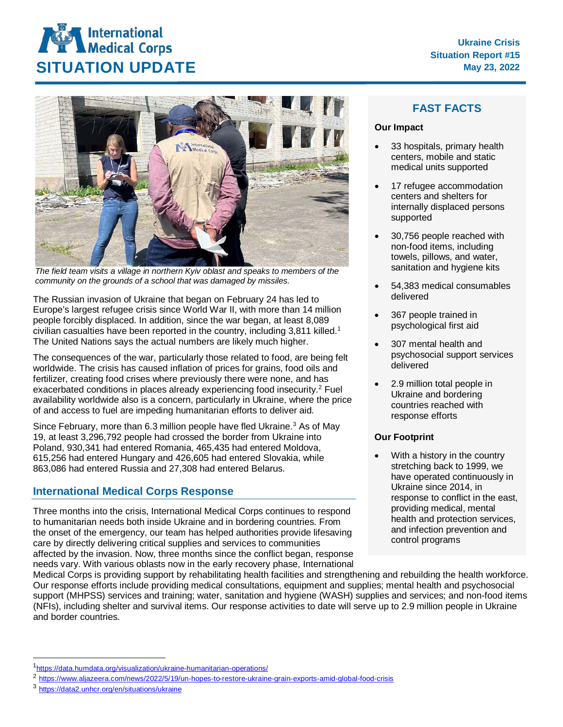



*The field team visits a village in northern Kyiv oblast and speaks to members of the community on the grounds of a school that was damaged by missiles.*

The Russian invasion of Ukraine that began on February 24 has led to Europe's largest refugee crisis since World War II, with more than 14 million people forcibly displaced. In addition, since the war began, at least 8,089 civilian casualties have been reported in the country, including 3,811 killed. [1](#page-0-0) The United Nations says the actual numbers are likely much higher.

The consequences of the war, particularly those related to food, are being felt worldwide. The crisis has caused inflation of prices for grains, food oils and fertilizer, creating food crises where previously there were none, and has exacerbated conditions in places already experiencing food insecurity.<sup>[2](#page-0-1)</sup> Fuel availability worldwide also is a concern, particularly in Ukraine, where the price of and access to fuel are impeding humanitarian efforts to deliver aid.

Since February, more than 6.[3](#page-0-2) million people have fled Ukraine.<sup>3</sup> As of May 19, at least 3,296,792 people had crossed the border from Ukraine into Poland, 930,341 had entered Romania, 465,435 had entered Moldova, 615,256 had entered Hungary and 426,605 had entered Slovakia, while 863,086 had entered Russia and 27,308 had entered Belarus.

## **International Medical Corps Response**

Three months into the crisis, International Medical Corps continues to respond to humanitarian needs both inside Ukraine and in bordering countries. From the onset of the emergency, our team has helped authorities provide lifesaving care by directly delivering critical supplies and services to communities affected by the invasion. Now, three months since the conflict began, response needs vary. With various oblasts now in the early recovery phase, International

# **FAST FACTS**

#### **Our Impact**

- 33 hospitals, primary health centers, mobile and static medical units supported
- 17 refugee accommodation centers and shelters for internally displaced persons supported
- 30,756 people reached with non-food items, including towels, pillows, and water, sanitation and hygiene kits
- 54,383 medical consumables delivered
- 367 people trained in psychological first aid
- 307 mental health and psychosocial support services delivered
- 2.9 million total people in Ukraine and bordering countries reached with response efforts

## **Our Footprint**

With a history in the country stretching back to 1999, we have operated continuously in Ukraine since 2014, in response to conflict in the east, providing medical, mental health and protection services, and infection prevention and control programs

Medical Corps is providing support by rehabilitating health facilities and strengthening and rebuilding the health workforce. Our response efforts include providing medical consultations, equipment and supplies; mental health and psychosocial support (MHPSS) services and training; water, sanitation and hygiene (WASH) supplies and services; and non-food items (NFIs), including shelter and survival items. Our response activities to date will serve up to 2.9 million people in Ukraine and border countries.

<span id="page-0-2"></span><sup>3</sup> <https://data2.unhcr.org/en/situations/ukraine>

<span id="page-0-0"></span>[1https://data.humdata.org/visualization/ukraine-humanitarian-operations/](https://data.humdata.org/visualization/ukraine-humanitarian-operations/)

<span id="page-0-1"></span><sup>2</sup> <https://www.aljazeera.com/news/2022/5/19/un-hopes-to-restore-ukraine-grain-exports-amid-global-food-crisis>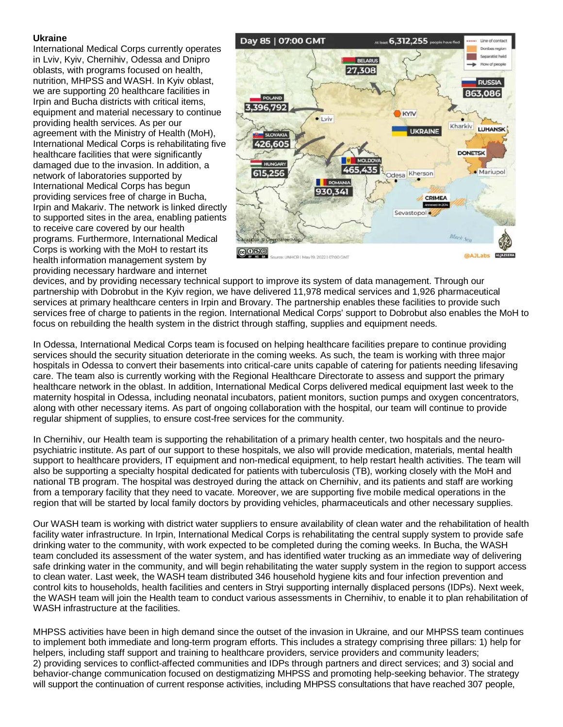#### **Ukraine**

International Medical Corps currently operates in Lviv, Kyiv, Chernihiv, Odessa and Dnipro oblasts, with programs focused on health, nutrition, MHPSS and WASH. In Kyiv oblast, we are supporting 20 healthcare facilities in Irpin and Bucha districts with critical items, equipment and material necessary to continue providing health services. As per our agreement with the Ministry of Health (MoH), International Medical Corps is rehabilitating five healthcare facilities that were significantly damaged due to the invasion. In addition, a network of laboratories supported by International Medical Corps has begun providing services free of charge in Bucha, Irpin and Makariv. The network is linked directly to supported sites in the area, enabling patients to receive care covered by our health programs. Furthermore, International Medical Corps is working with the MoH to restart its health information management system by providing necessary hardware and internet



devices, and by providing necessary technical support to improve its system of data management. Through our partnership with Dobrobut in the Kyiv region, we have delivered 11,978 medical services and 1,926 pharmaceutical services at primary healthcare centers in Irpin and Brovary. The partnership enables these facilities to provide such services free of charge to patients in the region. International Medical Corps' support to Dobrobut also enables the MoH to focus on rebuilding the health system in the district through staffing, supplies and equipment needs.

In Odessa, International Medical Corps team is focused on helping healthcare facilities prepare to continue providing services should the security situation deteriorate in the coming weeks. As such, the team is working with three major hospitals in Odessa to convert their basements into critical-care units capable of catering for patients needing lifesaving care. The team also is currently working with the Regional Healthcare Directorate to assess and support the primary healthcare network in the oblast. In addition, International Medical Corps delivered medical equipment last week to the maternity hospital in Odessa, including neonatal incubators, patient monitors, suction pumps and oxygen concentrators, along with other necessary items. As part of ongoing collaboration with the hospital, our team will continue to provide regular shipment of supplies, to ensure cost-free services for the community.

In Chernihiv, our Health team is supporting the rehabilitation of a primary health center, two hospitals and the neuropsychiatric institute. As part of our support to these hospitals, we also will provide medication, materials, mental health support to healthcare providers, IT equipment and non-medical equipment, to help restart health activities. The team will also be supporting a specialty hospital dedicated for patients with tuberculosis (TB), working closely with the MoH and national TB program. The hospital was destroyed during the attack on Chernihiv, and its patients and staff are working from a temporary facility that they need to vacate. Moreover, we are supporting five mobile medical operations in the region that will be started by local family doctors by providing vehicles, pharmaceuticals and other necessary supplies.

Our WASH team is working with district water suppliers to ensure availability of clean water and the rehabilitation of health facility water infrastructure. In Irpin, International Medical Corps is rehabilitating the central supply system to provide safe drinking water to the community, with work expected to be completed during the coming weeks. In Bucha, the WASH team concluded its assessment of the water system, and has identified water trucking as an immediate way of delivering safe drinking water in the community, and will begin rehabilitating the water supply system in the region to support access to clean water. Last week, the WASH team distributed 346 household hygiene kits and four infection prevention and control kits to households, health facilities and centers in Stryi supporting internally displaced persons (IDPs). Next week, the WASH team will join the Health team to conduct various assessments in Chernihiv, to enable it to plan rehabilitation of WASH infrastructure at the facilities.

MHPSS activities have been in high demand since the outset of the invasion in Ukraine, and our MHPSS team continues to implement both immediate and long-term program efforts. This includes a strategy comprising three pillars: 1) help for helpers, including staff support and training to healthcare providers, service providers and community leaders; 2) providing services to conflict-affected communities and IDPs through partners and direct services; and 3) social and behavior-change communication focused on destigmatizing MHPSS and promoting help-seeking behavior. The strategy will support the continuation of current response activities, including MHPSS consultations that have reached 307 people,